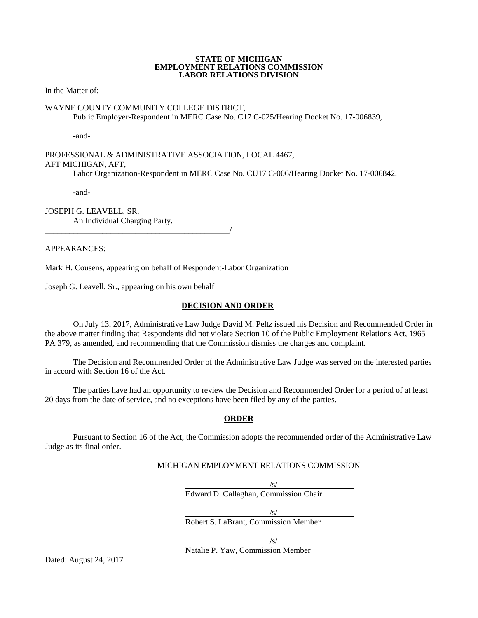#### **STATE OF MICHIGAN EMPLOYMENT RELATIONS COMMISSION LABOR RELATIONS DIVISION**

In the Matter of:

## WAYNE COUNTY COMMUNITY COLLEGE DISTRICT,

Public Employer-Respondent in MERC Case No. C17 C-025/Hearing Docket No. 17-006839,

-and-

PROFESSIONAL & ADMINISTRATIVE ASSOCIATION, LOCAL 4467, AFT MICHIGAN, AFT, Labor Organization-Respondent in MERC Case No. CU17 C-006/Hearing Docket No. 17-006842,

-and-

JOSEPH G. LEAVELL, SR, An Individual Charging Party.

\_\_\_\_\_\_\_\_\_\_\_\_\_\_\_\_\_\_\_\_\_\_\_\_\_\_\_\_\_\_\_\_\_\_\_\_\_\_\_\_\_\_\_\_\_/

APPEARANCES:

Mark H. Cousens, appearing on behalf of Respondent-Labor Organization

Joseph G. Leavell, Sr., appearing on his own behalf

#### **DECISION AND ORDER**

On July 13, 2017, Administrative Law Judge David M. Peltz issued his Decision and Recommended Order in the above matter finding that Respondents did not violate Section 10 of the Public Employment Relations Act, 1965 PA 379, as amended, and recommending that the Commission dismiss the charges and complaint.

The Decision and Recommended Order of the Administrative Law Judge was served on the interested parties in accord with Section 16 of the Act.

The parties have had an opportunity to review the Decision and Recommended Order for a period of at least 20 days from the date of service, and no exceptions have been filed by any of the parties.

## **ORDER**

Pursuant to Section 16 of the Act, the Commission adopts the recommended order of the Administrative Law Judge as its final order.

# MICHIGAN EMPLOYMENT RELATIONS COMMISSION

 $\sqrt{s/2}$ Edward D. Callaghan, Commission Chair

 $\frac{1}{s}$ /s/

Robert S. LaBrant, Commission Member

/s/

Natalie P. Yaw, Commission Member

Dated: August 24, 2017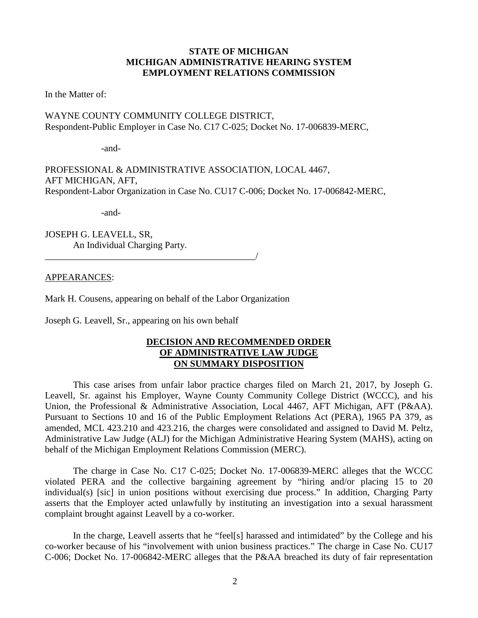# **STATE OF MICHIGAN MICHIGAN ADMINISTRATIVE HEARING SYSTEM EMPLOYMENT RELATIONS COMMISSION**

In the Matter of:

WAYNE COUNTY COMMUNITY COLLEGE DISTRICT, Respondent-Public Employer in Case No. C17 C-025; Docket No. 17-006839-MERC,

-and-

PROFESSIONAL & ADMINISTRATIVE ASSOCIATION, LOCAL 4467, AFT MICHIGAN, AFT, Respondent-Labor Organization in Case No. CU17 C-006; Docket No. 17-006842-MERC,

-and-

JOSEPH G. LEAVELL, SR, An Individual Charging Party.

\_\_\_\_\_\_\_\_\_\_\_\_\_\_\_\_\_\_\_\_\_\_\_\_\_\_\_\_\_\_\_\_\_\_\_\_\_\_\_\_\_\_\_\_\_/

APPEARANCES:

Mark H. Cousens, appearing on behalf of the Labor Organization

Joseph G. Leavell, Sr., appearing on his own behalf

## **DECISION AND RECOMMENDED ORDER OF ADMINISTRATIVE LAW JUDGE ON SUMMARY DISPOSITION**

This case arises from unfair labor practice charges filed on March 21, 2017, by Joseph G. Leavell, Sr. against his Employer, Wayne County Community College District (WCCC), and his Union, the Professional & Administrative Association, Local 4467, AFT Michigan, AFT (P&AA). Pursuant to Sections 10 and 16 of the Public Employment Relations Act (PERA), 1965 PA 379, as amended, MCL 423.210 and 423.216, the charges were consolidated and assigned to David M. Peltz, Administrative Law Judge (ALJ) for the Michigan Administrative Hearing System (MAHS), acting on behalf of the Michigan Employment Relations Commission (MERC).

The charge in Case No. C17 C-025; Docket No. 17-006839-MERC alleges that the WCCC violated PERA and the collective bargaining agreement by "hiring and/or placing 15 to 20 individual(s) [sic] in union positions without exercising due process." In addition, Charging Party asserts that the Employer acted unlawfully by instituting an investigation into a sexual harassment complaint brought against Leavell by a co-worker.

In the charge, Leavell asserts that he "feel[s] harassed and intimidated" by the College and his co-worker because of his "involvement with union business practices." The charge in Case No. CU17 C-006; Docket No. 17-006842-MERC alleges that the P&AA breached its duty of fair representation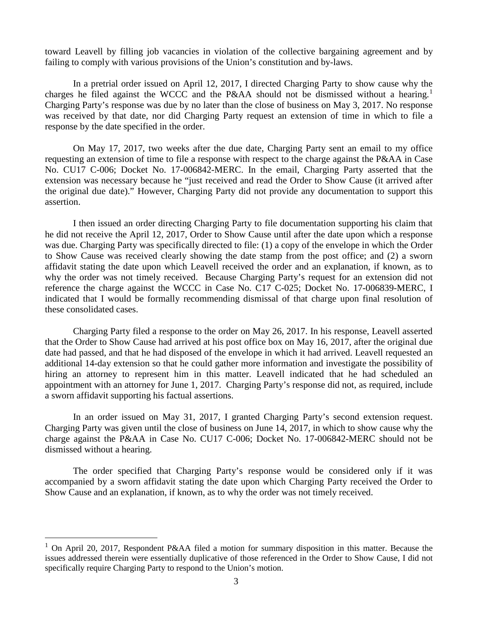toward Leavell by filling job vacancies in violation of the collective bargaining agreement and by failing to comply with various provisions of the Union's constitution and by-laws.

In a pretrial order issued on April 12, 2017, I directed Charging Party to show cause why the charges he filed against the WCCC and the P&AA should not be dismissed without a hearing.<sup>[1](#page-2-0)</sup> Charging Party's response was due by no later than the close of business on May 3, 2017. No response was received by that date, nor did Charging Party request an extension of time in which to file a response by the date specified in the order.

On May 17, 2017, two weeks after the due date, Charging Party sent an email to my office requesting an extension of time to file a response with respect to the charge against the P&AA in Case No. CU17 C-006; Docket No. 17-006842-MERC. In the email, Charging Party asserted that the extension was necessary because he "just received and read the Order to Show Cause (it arrived after the original due date)." However, Charging Party did not provide any documentation to support this assertion.

I then issued an order directing Charging Party to file documentation supporting his claim that he did not receive the April 12, 2017, Order to Show Cause until after the date upon which a response was due. Charging Party was specifically directed to file: (1) a copy of the envelope in which the Order to Show Cause was received clearly showing the date stamp from the post office; and (2) a sworn affidavit stating the date upon which Leavell received the order and an explanation, if known, as to why the order was not timely received. Because Charging Party's request for an extension did not reference the charge against the WCCC in Case No. C17 C-025; Docket No. 17-006839-MERC, I indicated that I would be formally recommending dismissal of that charge upon final resolution of these consolidated cases.

Charging Party filed a response to the order on May 26, 2017. In his response, Leavell asserted that the Order to Show Cause had arrived at his post office box on May 16, 2017, after the original due date had passed, and that he had disposed of the envelope in which it had arrived. Leavell requested an additional 14-day extension so that he could gather more information and investigate the possibility of hiring an attorney to represent him in this matter. Leavell indicated that he had scheduled an appointment with an attorney for June 1, 2017. Charging Party's response did not, as required, include a sworn affidavit supporting his factual assertions.

In an order issued on May 31, 2017, I granted Charging Party's second extension request. Charging Party was given until the close of business on June 14, 2017, in which to show cause why the charge against the P&AA in Case No. CU17 C-006; Docket No. 17-006842-MERC should not be dismissed without a hearing.

The order specified that Charging Party's response would be considered only if it was accompanied by a sworn affidavit stating the date upon which Charging Party received the Order to Show Cause and an explanation, if known, as to why the order was not timely received.

<span id="page-2-0"></span><sup>&</sup>lt;sup>1</sup> On April 20, 2017, Respondent P&AA filed a motion for summary disposition in this matter. Because the issues addressed therein were essentially duplicative of those referenced in the Order to Show Cause, I did not specifically require Charging Party to respond to the Union's motion.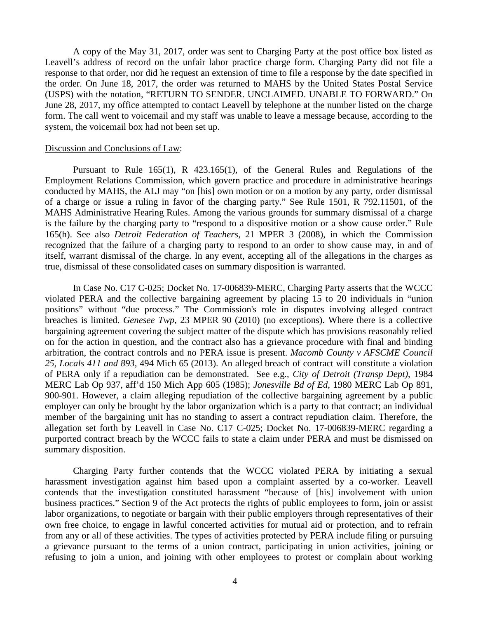A copy of the May 31, 2017, order was sent to Charging Party at the post office box listed as Leavell's address of record on the unfair labor practice charge form. Charging Party did not file a response to that order, nor did he request an extension of time to file a response by the date specified in the order. On June 18, 2017, the order was returned to MAHS by the United States Postal Service (USPS) with the notation, "RETURN TO SENDER. UNCLAIMED. UNABLE TO FORWARD." On June 28, 2017, my office attempted to contact Leavell by telephone at the number listed on the charge form. The call went to voicemail and my staff was unable to leave a message because, according to the system, the voicemail box had not been set up.

#### Discussion and Conclusions of Law:

Pursuant to Rule 165(1), R 423.165(1), of the General Rules and Regulations of the Employment Relations Commission, which govern practice and procedure in administrative hearings conducted by MAHS, the ALJ may "on [his] own motion or on a motion by any party, order dismissal of a charge or issue a ruling in favor of the charging party." See Rule 1501, R 792.11501, of the MAHS Administrative Hearing Rules. Among the various grounds for summary dismissal of a charge is the failure by the charging party to "respond to a dispositive motion or a show cause order." Rule 165(h). See also *Detroit Federation of Teachers*, 21 MPER 3 (2008), in which the Commission recognized that the failure of a charging party to respond to an order to show cause may, in and of itself, warrant dismissal of the charge. In any event, accepting all of the allegations in the charges as true, dismissal of these consolidated cases on summary disposition is warranted.

In Case No. C17 C-025; Docket No. 17-006839-MERC, Charging Party asserts that the WCCC violated PERA and the collective bargaining agreement by placing 15 to 20 individuals in "union positions" without "due process." The Commission's role in disputes involving alleged contract breaches is limited. *Genesee Twp*, 23 MPER 90 (2010) (no exceptions). Where there is a collective bargaining agreement covering the subject matter of the dispute which has provisions reasonably relied on for the action in question, and the contract also has a grievance procedure with final and binding arbitration, the contract controls and no PERA issue is present. *Macomb County v AFSCME Council 25, Locals 411 and 893*, 494 Mich 65 (2013). An alleged breach of contract will constitute a violation of PERA only if a repudiation can be demonstrated. See e.g., *City of Detroit (Transp Dept)*, 1984 MERC Lab Op 937, aff'd 150 Mich App 605 (1985); *Jonesville Bd of Ed*, 1980 MERC Lab Op 891, 900-901. However, a claim alleging repudiation of the collective bargaining agreement by a public employer can only be brought by the labor organization which is a party to that contract; an individual member of the bargaining unit has no standing to assert a contract repudiation claim. Therefore, the allegation set forth by Leavell in Case No. C17 C-025; Docket No. 17-006839-MERC regarding a purported contract breach by the WCCC fails to state a claim under PERA and must be dismissed on summary disposition.

Charging Party further contends that the WCCC violated PERA by initiating a sexual harassment investigation against him based upon a complaint asserted by a co-worker. Leavell contends that the investigation constituted harassment "because of [his] involvement with union business practices." Section 9 of the Act protects the rights of public employees to form, join or assist labor organizations, to negotiate or bargain with their public employers through representatives of their own free choice, to engage in lawful concerted activities for mutual aid or protection, and to refrain from any or all of these activities. The types of activities protected by PERA include filing or pursuing a grievance pursuant to the terms of a union contract, participating in union activities, joining or refusing to join a union, and joining with other employees to protest or complain about working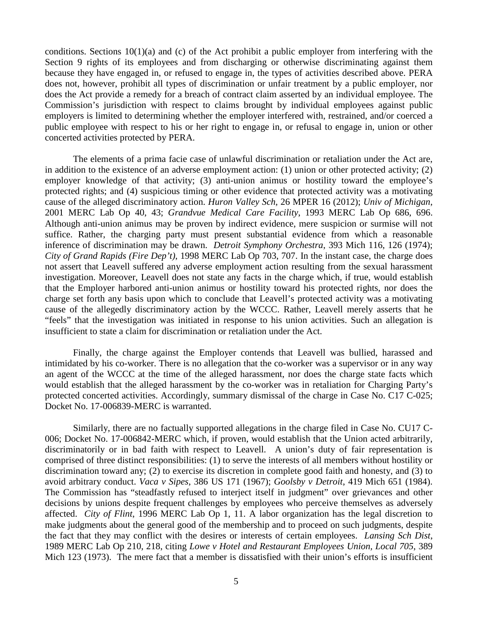conditions. Sections 10(1)(a) and (c) of the Act prohibit a public employer from interfering with the Section 9 rights of its employees and from discharging or otherwise discriminating against them because they have engaged in, or refused to engage in, the types of activities described above. PERA does not, however, prohibit all types of discrimination or unfair treatment by a public employer, nor does the Act provide a remedy for a breach of contract claim asserted by an individual employee. The Commission's jurisdiction with respect to claims brought by individual employees against public employers is limited to determining whether the employer interfered with, restrained, and/or coerced a public employee with respect to his or her right to engage in, or refusal to engage in, union or other concerted activities protected by PERA.

The elements of a prima facie case of unlawful discrimination or retaliation under the Act are, in addition to the existence of an adverse employment action: (1) union or other protected activity; (2) employer knowledge of that activity; (3) anti-union animus or hostility toward the employee's protected rights; and (4) suspicious timing or other evidence that protected activity was a motivating cause of the alleged discriminatory action. *Huron Valley Sch*, 26 MPER 16 (2012); *Univ of Michigan*, 2001 MERC Lab Op 40, 43; *Grandvue Medical Care Facility*, 1993 MERC Lab Op 686, 696. Although anti-union animus may be proven by indirect evidence, mere suspicion or surmise will not suffice. Rather, the charging party must present substantial evidence from which a reasonable inference of discrimination may be drawn. *Detroit Symphony Orchestra*, 393 Mich 116, 126 (1974); *City of Grand Rapids (Fire Dep't)*, 1998 MERC Lab Op 703, 707. In the instant case, the charge does not assert that Leavell suffered any adverse employment action resulting from the sexual harassment investigation. Moreover, Leavell does not state any facts in the charge which, if true, would establish that the Employer harbored anti-union animus or hostility toward his protected rights, nor does the charge set forth any basis upon which to conclude that Leavell's protected activity was a motivating cause of the allegedly discriminatory action by the WCCC. Rather, Leavell merely asserts that he "feels" that the investigation was initiated in response to his union activities. Such an allegation is insufficient to state a claim for discrimination or retaliation under the Act.

Finally, the charge against the Employer contends that Leavell was bullied, harassed and intimidated by his co-worker. There is no allegation that the co-worker was a supervisor or in any way an agent of the WCCC at the time of the alleged harassment, nor does the charge state facts which would establish that the alleged harassment by the co-worker was in retaliation for Charging Party's protected concerted activities. Accordingly, summary dismissal of the charge in Case No. C17 C-025; Docket No. 17-006839-MERC is warranted.

Similarly, there are no factually supported allegations in the charge filed in Case No. CU17 C-006; Docket No. 17-006842-MERC which, if proven, would establish that the Union acted arbitrarily, discriminatorily or in bad faith with respect to Leavell. A union's duty of fair representation is comprised of three distinct responsibilities: (1) to serve the interests of all members without hostility or discrimination toward any; (2) to exercise its discretion in complete good faith and honesty, and (3) to avoid arbitrary conduct. *Vaca v Sipes*, 386 US 171 (1967); *Goolsby v Detroit*, 419 Mich 651 (1984). The Commission has "steadfastly refused to interject itself in judgment" over grievances and other decisions by unions despite frequent challenges by employees who perceive themselves as adversely affected. *City of Flint*, 1996 MERC Lab Op 1, 11. A labor organization has the legal discretion to make judgments about the general good of the membership and to proceed on such judgments, despite the fact that they may conflict with the desires or interests of certain employees. *Lansing Sch Dist*, 1989 MERC Lab Op 210, 218, citing *Lowe v Hotel and Restaurant Employees Union, Local 705*, 389 Mich 123 (1973). The mere fact that a member is dissatisfied with their union's efforts is insufficient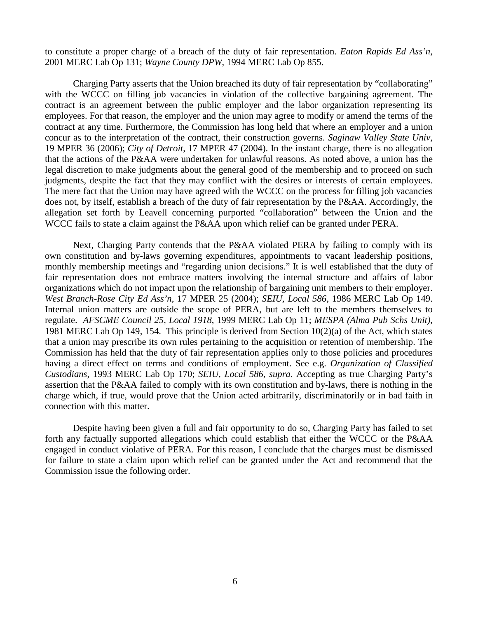to constitute a proper charge of a breach of the duty of fair representation. *Eaton Rapids Ed Ass'n*, 2001 MERC Lab Op 131; *Wayne County DPW*, 1994 MERC Lab Op 855.

Charging Party asserts that the Union breached its duty of fair representation by "collaborating" with the WCCC on filling job vacancies in violation of the collective bargaining agreement. The contract is an agreement between the public employer and the labor organization representing its employees. For that reason, the employer and the union may agree to modify or amend the terms of the contract at any time. Furthermore, the Commission has long held that where an employer and a union concur as to the interpretation of the contract, their construction governs. *Saginaw Valley State Univ*, 19 MPER 36 (2006); *City of Detroit*, 17 MPER 47 (2004). In the instant charge, there is no allegation that the actions of the P&AA were undertaken for unlawful reasons. As noted above, a union has the legal discretion to make judgments about the general good of the membership and to proceed on such judgments, despite the fact that they may conflict with the desires or interests of certain employees. The mere fact that the Union may have agreed with the WCCC on the process for filling job vacancies does not, by itself, establish a breach of the duty of fair representation by the P&AA. Accordingly, the allegation set forth by Leavell concerning purported "collaboration" between the Union and the WCCC fails to state a claim against the P&AA upon which relief can be granted under PERA.

Next, Charging Party contends that the P&AA violated PERA by failing to comply with its own constitution and by-laws governing expenditures, appointments to vacant leadership positions, monthly membership meetings and "regarding union decisions." It is well established that the duty of fair representation does not embrace matters involving the internal structure and affairs of labor organizations which do not impact upon the relationship of bargaining unit members to their employer. *West Branch-Rose City Ed Ass'n*, 17 MPER 25 (2004); *SEIU, Local 586*, 1986 MERC Lab Op 149. Internal union matters are outside the scope of PERA, but are left to the members themselves to regulate. *AFSCME Council 25, Local 1918*, 1999 MERC Lab Op 11; *MESPA (Alma Pub Schs Unit)*, 1981 MERC Lab Op 149, 154. This principle is derived from Section 10(2)(a) of the Act, which states that a union may prescribe its own rules pertaining to the acquisition or retention of membership. The Commission has held that the duty of fair representation applies only to those policies and procedures having a direct effect on terms and conditions of employment. See e.g. *Organization of Classified Custodians*, 1993 MERC Lab Op 170; *SEIU*, *Local 586*, *supra*. Accepting as true Charging Party's assertion that the P&AA failed to comply with its own constitution and by-laws, there is nothing in the charge which, if true, would prove that the Union acted arbitrarily, discriminatorily or in bad faith in connection with this matter.

Despite having been given a full and fair opportunity to do so, Charging Party has failed to set forth any factually supported allegations which could establish that either the WCCC or the P&AA engaged in conduct violative of PERA. For this reason, I conclude that the charges must be dismissed for failure to state a claim upon which relief can be granted under the Act and recommend that the Commission issue the following order.